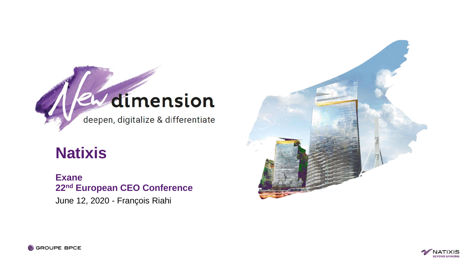

# **Natixis**

**Exane 22nd European CEO Conference** June 12, 2020 - François Riahi





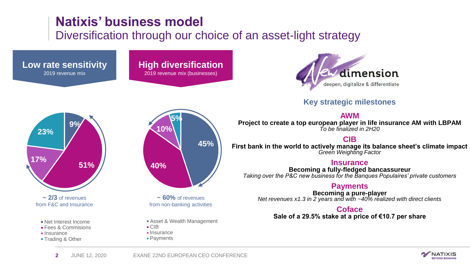# **Natixis' business model**

## Diversification through our choice of an asset-light strategy



### **Key strategic milestones**

#### **AWM**

**Project to create a top european player in life insurance AM with LBPAM** *To be finalized in 2H20*

### **CIB**

**First bank in the world to actively manage its balance sheet's climate impact** *Green Weighting Factor*

#### **Insurance**

**Becoming a fully-fledged bancassureur** *Taking over the P&C new business for the Banques Populaires' private customers* 

### **Payments**

**Becoming a pure-player** *Net revenues x1.3 in 2 years and with ~40% realized with direct clients*

#### **Coface**

**Sale of a 29.5% stake at a price of €10.7 per share**



**Low rate sensitivity** 2019 revenue mix

**Insurance** 

**Trading & Other** 



**High diversification** 2019 revenue mix (businesses)

> **~ 60%** of revenues from non-banking activities

- Asset & Wealth Management
- CIB
- **Insurance Payments**

**2** JUNE 12, 2020 EXANE 22ND EUROPEAN CEO CONFERENCE

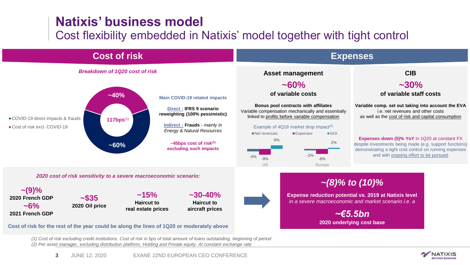# **Natixis' business model**

## Cost flexibility embedded in Natixis' model together with tight control



*(1) Cost of risk excluding credit institutions. Cost of risk in bps of total amount of loans outstanding, beginning of period (2) Per asset manager, excluding distribution platform, Holding and Private equity. At constant exchange rate*